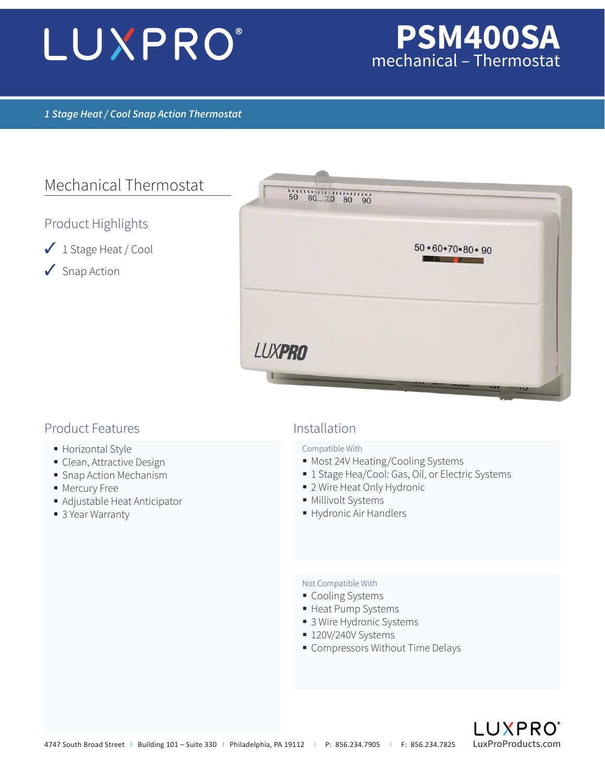# LUXPRO®

## **PSM400SA** mechanical – Thermostat

#### *1 Stage Heat / Cool Snap Action Thermostat*

### Mechanical Thermostat

#### Product Highlights

- ✓ 1 Stage Heat / Cool
- ✓ Snap Action



#### Product Features and a linear and linear linear linear linear linear linear linear linear linear linear linear

- **Horizontal Style**
- **Clean, Attractive Design**
- **Snap Action Mechanism**
- **Mercury Free**
- Adjustable Heat Anticipator
- 3 Year Warranty

#### Compatible With

- Most 24V Heating/Cooling Systems
- 1 Stage Hea/Cool: Gas, Oil, or Electric Systems
- 2 Wire Heat Only Hydronic
- **Millivolt Systems**
- Hydronic Air Handlers

#### Not Compatible With

- Cooling Systems
- Heat Pump Systems
- 3 Wire Hydronic Systems
- **120V/240V Systems**
- **Compressors Without Time Delays**